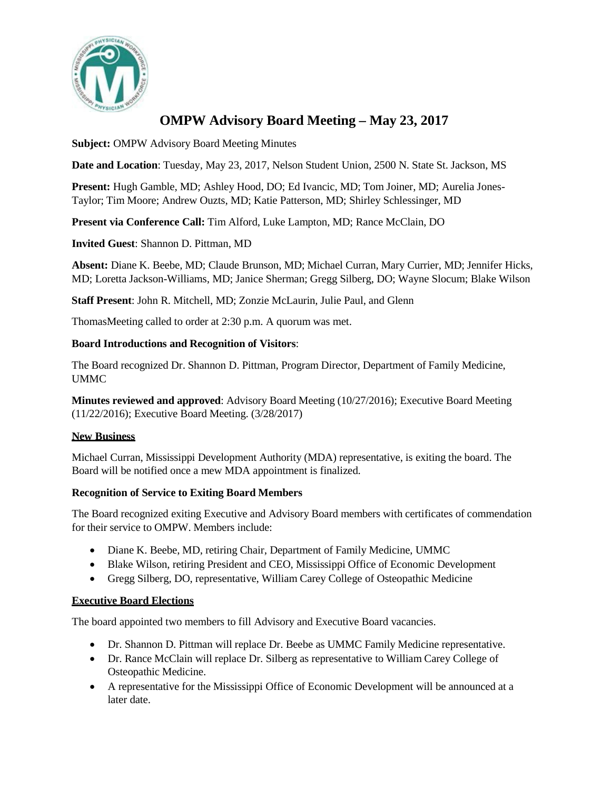

# **OMPW Advisory Board Meeting – May 23, 2017**

**Subject:** OMPW Advisory Board Meeting Minutes

**Date and Location**: Tuesday, May 23, 2017, Nelson Student Union, 2500 N. State St. Jackson, MS

**Present:** Hugh Gamble, MD; Ashley Hood, DO; Ed Ivancic, MD; Tom Joiner, MD; Aurelia Jones-Taylor; Tim Moore; Andrew Ouzts, MD; Katie Patterson, MD; Shirley Schlessinger, MD

**Present via Conference Call:** Tim Alford, Luke Lampton, MD; Rance McClain, DO

**Invited Guest**: Shannon D. Pittman, MD

**Absent:** Diane K. Beebe, MD; Claude Brunson, MD; Michael Curran, Mary Currier, MD; Jennifer Hicks, MD; Loretta Jackson-Williams, MD; Janice Sherman; Gregg Silberg, DO; Wayne Slocum; Blake Wilson

**Staff Present**: John R. Mitchell, MD; Zonzie McLaurin, Julie Paul, and Glenn

ThomasMeeting called to order at 2:30 p.m. A quorum was met.

# **Board Introductions and Recognition of Visitors**:

The Board recognized Dr. Shannon D. Pittman, Program Director, Department of Family Medicine, UMMC

**Minutes reviewed and approved**: Advisory Board Meeting (10/27/2016); Executive Board Meeting (11/22/2016); Executive Board Meeting. (3/28/2017)

# **New Business**

Michael Curran, Mississippi Development Authority (MDA) representative, is exiting the board. The Board will be notified once a mew MDA appointment is finalized.

## **Recognition of Service to Exiting Board Members**

The Board recognized exiting Executive and Advisory Board members with certificates of commendation for their service to OMPW. Members include:

- Diane K. Beebe, MD, retiring Chair, Department of Family Medicine, UMMC
- Blake Wilson, retiring President and CEO, Mississippi Office of Economic Development
- Gregg Silberg, DO, representative, William Carey College of Osteopathic Medicine

## **Executive Board Elections**

The board appointed two members to fill Advisory and Executive Board vacancies.

- Dr. Shannon D. Pittman will replace Dr. Beebe as UMMC Family Medicine representative.
- Dr. Rance McClain will replace Dr. Silberg as representative to William Carey College of Osteopathic Medicine.
- A representative for the Mississippi Office of Economic Development will be announced at a later date.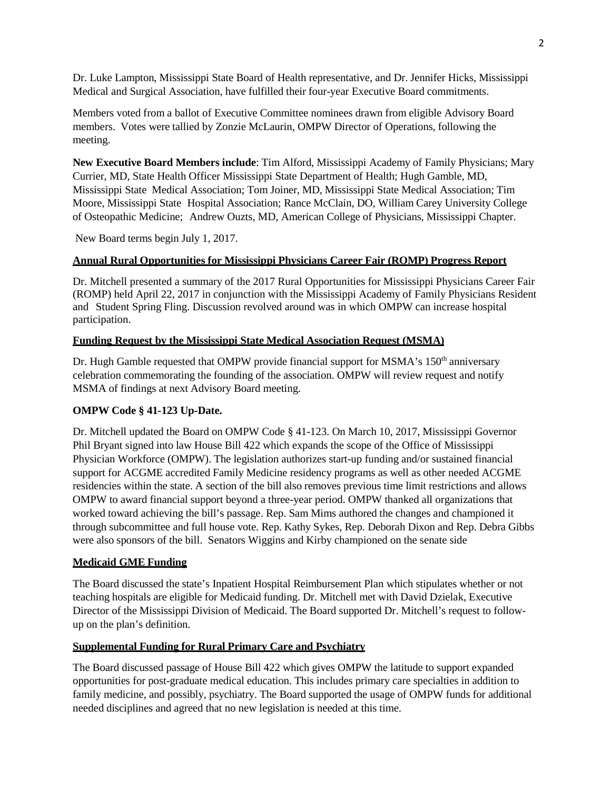Dr. Luke Lampton, Mississippi State Board of Health representative, and Dr. Jennifer Hicks, Mississippi Medical and Surgical Association, have fulfilled their four-year Executive Board commitments.

Members voted from a ballot of Executive Committee nominees drawn from eligible Advisory Board members. Votes were tallied by Zonzie McLaurin, OMPW Director of Operations, following the meeting.

**New Executive Board Members include**: Tim Alford, Mississippi Academy of Family Physicians; Mary Currier, MD, State Health Officer Mississippi State Department of Health; Hugh Gamble, MD, Mississippi State Medical Association; Tom Joiner, MD, Mississippi State Medical Association; Tim Moore, Mississippi State Hospital Association; Rance McClain, DO, William Carey University College of Osteopathic Medicine; Andrew Ouzts, MD, American College of Physicians, Mississippi Chapter.

New Board terms begin July 1, 2017.

# **Annual Rural Opportunities for Mississippi Physicians Career Fair (ROMP) Progress Report**

Dr. Mitchell presented a summary of the 2017 Rural Opportunities for Mississippi Physicians Career Fair (ROMP) held April 22, 2017 in conjunction with the Mississippi Academy of Family Physicians Resident and Student Spring Fling. Discussion revolved around was in which OMPW can increase hospital participation.

# **Funding Request by the Mississippi State Medical Association Request (MSMA)**

Dr. Hugh Gamble requested that OMPW provide financial support for MSMA's 150<sup>th</sup> anniversary celebration commemorating the founding of the association. OMPW will review request and notify MSMA of findings at next Advisory Board meeting.

## **OMPW Code § 41-123 Up-Date.**

Dr. Mitchell updated the Board on OMPW Code § 41-123. On March 10, 2017, Mississippi Governor Phil Bryant signed into law House Bill 422 which expands the scope of the Office of Mississippi Physician Workforce (OMPW). The legislation authorizes start-up funding and/or sustained financial support for ACGME accredited Family Medicine residency programs as well as other needed ACGME residencies within the state. A section of the bill also removes previous time limit restrictions and allows OMPW to award financial support beyond a three-year period. OMPW thanked all organizations that worked toward achieving the bill's passage. Rep. Sam Mims authored the changes and championed it through subcommittee and full house vote. Rep. Kathy Sykes, Rep. Deborah Dixon and Rep. Debra Gibbs were also sponsors of the bill. Senators Wiggins and Kirby championed on the senate side

## **Medicaid GME Funding**

The Board discussed the state's Inpatient Hospital Reimbursement Plan which stipulates whether or not teaching hospitals are eligible for Medicaid funding. Dr. Mitchell met with David Dzielak, Executive Director of the Mississippi Division of Medicaid. The Board supported Dr. Mitchell's request to followup on the plan's definition.

## **Supplemental Funding for Rural Primary Care and Psychiatry**

The Board discussed passage of House Bill 422 which gives OMPW the latitude to support expanded opportunities for post-graduate medical education. This includes primary care specialties in addition to family medicine, and possibly, psychiatry. The Board supported the usage of OMPW funds for additional needed disciplines and agreed that no new legislation is needed at this time.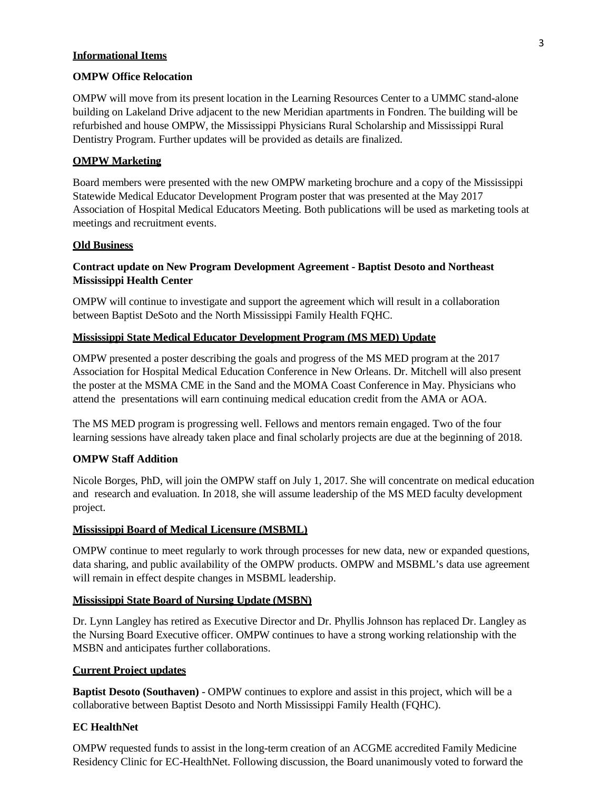### **Informational Items**

### **OMPW Office Relocation**

OMPW will move from its present location in the Learning Resources Center to a UMMC stand-alone building on Lakeland Drive adjacent to the new Meridian apartments in Fondren. The building will be refurbished and house OMPW, the Mississippi Physicians Rural Scholarship and Mississippi Rural Dentistry Program. Further updates will be provided as details are finalized.

#### **OMPW Marketing**

Board members were presented with the new OMPW marketing brochure and a copy of the Mississippi Statewide Medical Educator Development Program poster that was presented at the May 2017 Association of Hospital Medical Educators Meeting. Both publications will be used as marketing tools at meetings and recruitment events.

#### **Old Business**

## **Contract update on New Program Development Agreement - Baptist Desoto and Northeast Mississippi Health Center**

OMPW will continue to investigate and support the agreement which will result in a collaboration between Baptist DeSoto and the North Mississippi Family Health FQHC.

#### **Mississippi State Medical Educator Development Program (MS MED) Update**

OMPW presented a poster describing the goals and progress of the MS MED program at the 2017 Association for Hospital Medical Education Conference in New Orleans. Dr. Mitchell will also present the poster at the MSMA CME in the Sand and the MOMA Coast Conference in May. Physicians who attend the presentations will earn continuing medical education credit from the AMA or AOA.

The MS MED program is progressing well. Fellows and mentors remain engaged. Two of the four learning sessions have already taken place and final scholarly projects are due at the beginning of 2018.

### **OMPW Staff Addition**

Nicole Borges, PhD, will join the OMPW staff on July 1, 2017. She will concentrate on medical education and research and evaluation. In 2018, she will assume leadership of the MS MED faculty development project.

#### **Mississippi Board of Medical Licensure (MSBML)**

OMPW continue to meet regularly to work through processes for new data, new or expanded questions, data sharing, and public availability of the OMPW products. OMPW and MSBML's data use agreement will remain in effect despite changes in MSBML leadership.

#### **Mississippi State Board of Nursing Update (MSBN)**

Dr. Lynn Langley has retired as Executive Director and Dr. Phyllis Johnson has replaced Dr. Langley as the Nursing Board Executive officer. OMPW continues to have a strong working relationship with the MSBN and anticipates further collaborations.

#### **Current Project updates**

**Baptist Desoto (Southaven)** - OMPW continues to explore and assist in this project, which will be a collaborative between Baptist Desoto and North Mississippi Family Health (FQHC).

#### **EC HealthNet**

OMPW requested funds to assist in the long-term creation of an ACGME accredited Family Medicine Residency Clinic for EC-HealthNet. Following discussion, the Board unanimously voted to forward the